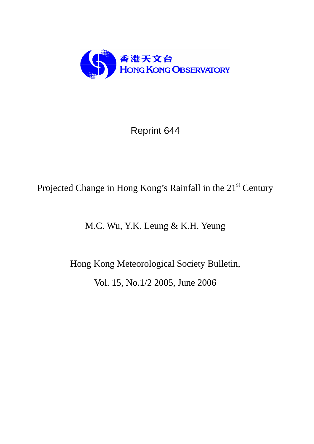

Reprint 644

# Projected Change in Hong Kong's Rainfall in the 21<sup>st</sup> Century

M.C. Wu, Y.K. Leung & K.H. Yeung

Hong Kong Meteorological Society Bulletin, Vol. 15, No.1/2 2005, June 2006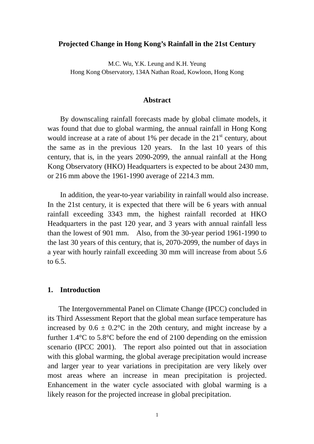## **Projected Change in Hong Kong's Rainfall in the 21st Century**

M.C. Wu, Y.K. Leung and K.H. Yeung Hong Kong Observatory, 134A Nathan Road, Kowloon, Hong Kong

#### **Abstract**

 By downscaling rainfall forecasts made by global climate models, it was found that due to global warming, the annual rainfall in Hong Kong would increase at a rate of about  $1\%$  per decade in the  $21<sup>st</sup>$  century, about the same as in the previous 120 years. In the last 10 years of this century, that is, in the years 2090-2099, the annual rainfall at the Hong Kong Observatory (HKO) Headquarters is expected to be about 2430 mm, or 216 mm above the 1961-1990 average of 2214.3 mm.

In addition, the year-to-year variability in rainfall would also increase. In the 21st century, it is expected that there will be 6 years with annual rainfall exceeding 3343 mm, the highest rainfall recorded at HKO Headquarters in the past 120 year, and 3 years with annual rainfall less than the lowest of 901 mm. Also, from the 30-year period 1961-1990 to the last 30 years of this century, that is, 2070-2099, the number of days in a year with hourly rainfall exceeding 30 mm will increase from about 5.6 to 6.5.

#### **1. Introduction**

The Intergovernmental Panel on Climate Change (IPCC) concluded in its Third Assessment Report that the global mean surface temperature has increased by  $0.6 \pm 0.2$ °C in the 20th century, and might increase by a further 1.4°C to 5.8°C before the end of 2100 depending on the emission scenario (IPCC 2001). The report also pointed out that in association with this global warming, the global average precipitation would increase and larger year to year variations in precipitation are very likely over most areas where an increase in mean precipitation is projected. Enhancement in the water cycle associated with global warming is a likely reason for the projected increase in global precipitation.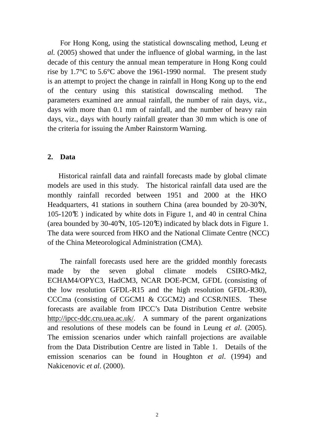For Hong Kong, using the statistical downscaling method, Leung *et al.* (2005) showed that under the influence of global warming, in the last decade of this century the annual mean temperature in Hong Kong could rise by 1.7°C to 5.6°C above the 1961-1990 normal. The present study is an attempt to project the change in rainfall in Hong Kong up to the end of the century using this statistical downscaling method. The parameters examined are annual rainfall, the number of rain days, viz., days with more than 0.1 mm of rainfall, and the number of heavy rain days, viz., days with hourly rainfall greater than 30 mm which is one of the criteria for issuing the Amber Rainstorm Warning.

## **2. Data**

Historical rainfall data and rainfall forecasts made by global climate models are used in this study. The historical rainfall data used are the monthly rainfall recorded between 1951 and 2000 at the HKO Headquarters, 41 stations in southern China (area bounded by 20-30°N, 105-120°E ) indicated by white dots in Figure 1, and 40 in central China (area bounded by 30-40°N, 105-120°E) indicated by black dots in Figure 1. The data were sourced from HKO and the National Climate Centre (NCC) of the China Meteorological Administration (CMA).

 The rainfall forecasts used here are the gridded monthly forecasts made by the seven global climate models CSIRO-Mk2, ECHAM4/OPYC3, HadCM3, NCAR DOE-PCM, GFDL (consisting of the low resolution GFDL-R15 and the high resolution GFDL-R30), CCCma (consisting of CGCM1 & CGCM2) and CCSR/NIES. These forecasts are available from IPCC's Data Distribution Centre website http://ipcc-ddc.cru.uea.ac.uk/. A summary of the parent organizations and resolutions of these models can be found in Leung *et al*. (2005). The emission scenarios under which rainfall projections are available from the Data Distribution Centre are listed in Table 1. Details of the emission scenarios can be found in Houghton *et al*. (1994) and Nakicenovic *et al*. (2000).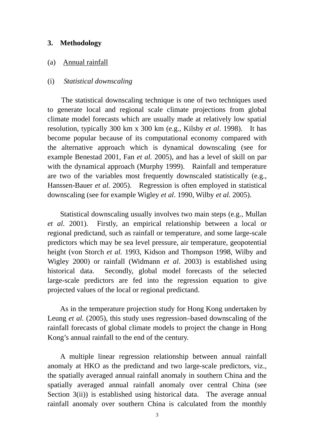## **3. Methodology**

## (a) Annual rainfall

#### (i) *Statistical downscaling*

 The statistical downscaling technique is one of two techniques used to generate local and regional scale climate projections from global climate model forecasts which are usually made at relatively low spatial resolution, typically 300 km x 300 km (e.g., Kilsby *et al*. 1998). It has become popular because of its computational economy compared with the alternative approach which is dynamical downscaling (see for example Benestad 2001, Fan *et al.* 2005), and has a level of skill on par with the dynamical approach (Murphy 1999). Rainfall and temperature are two of the variables most frequently downscaled statistically (e.g., Hanssen-Bauer *et al.* 2005). Regression is often employed in statistical downscaling (see for example Wigley *et al*. 1990, Wilby *et al.* 2005).

 Statistical downscaling usually involves two main steps (e.g., Mullan *et al*. 2001). Firstly, an empirical relationship between a local or regional predictand, such as rainfall or temperature, and some large-scale predictors which may be sea level pressure, air temperature, geopotential height (von Storch *et al.* 1993, Kidson and Thompson 1998, Wilby and Wigley 2000) or rainfall (Widmann *et al*. 2003) is established using historical data. Secondly, global model forecasts of the selected large-scale predictors are fed into the regression equation to give projected values of the local or regional predictand.

As in the temperature projection study for Hong Kong undertaken by Leung *et al.* (2005), this study uses regression–based downscaling of the rainfall forecasts of global climate models to project the change in Hong Kong's annual rainfall to the end of the century.

 A multiple linear regression relationship between annual rainfall anomaly at HKO as the predictand and two large-scale predictors, viz., the spatially averaged annual rainfall anomaly in southern China and the spatially averaged annual rainfall anomaly over central China (see Section 3(ii)) is established using historical data. The average annual rainfall anomaly over southern China is calculated from the monthly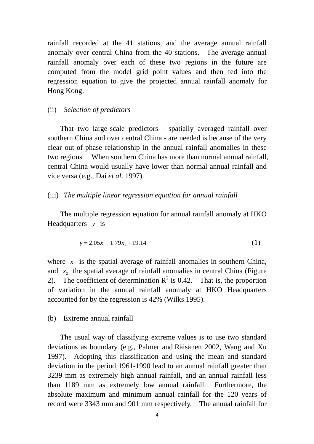rainfall recorded at the 41 stations, and the average annual rainfall anomaly over central China from the 40 stations. The average annual rainfall anomaly over each of these two regions in the future are computed from the model grid point values and then fed into the regression equation to give the projected annual rainfall anomaly for Hong Kong.

#### (ii) *Selection of predictors*

 That two large-scale predictors - spatially averaged rainfall over southern China and over central China - are needed is because of the very clear out-of-phase relationship in the annual rainfall anomalies in these two regions. When southern China has more than normal annual rainfall, central China would usually have lower than normal annual rainfall and vice versa (e.g., Dai *et al*. 1997).

## (iii) *The multiple linear regression equation for annual rainfall*

 The multiple regression equation for annual rainfall anomaly at HKO Headquarters *y* is

$$
y = 2.05x_1 - 1.79x_2 + 19.14\tag{1}
$$

where  $x_i$  is the spatial average of rainfall anomalies in southern China, and  $x<sub>2</sub>$  the spatial average of rainfall anomalies in central China (Figure 2). The coefficient of determination  $R^2$  is 0.42. That is, the proportion of variation in the annual rainfall anomaly at HKO Headquarters accounted for by the regression is 42% (Wilks 1995).

#### (b) Extreme annual rainfall

The usual way of classifying extreme values is to use two standard deviations as boundary (e.g., Palmer and Räisänen 2002, Wang and Xu 1997). Adopting this classification and using the mean and standard deviation in the period 1961-1990 lead to an annual rainfall greater than 3239 mm as extremely high annual rainfall, and an annual rainfall less than 1189 mm as extremely low annual rainfall. Furthermore, the absolute maximum and minimum annual rainfall for the 120 years of record were 3343 mm and 901 mm respectively. The annual rainfall for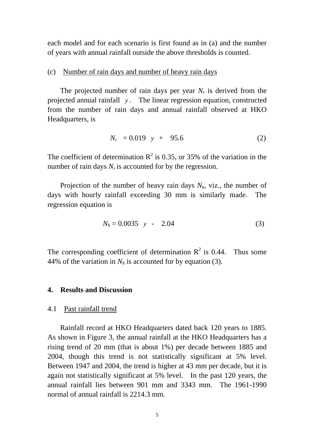each model and for each scenario is first found as in (a) and the number of years with annual rainfall outside the above thresholds is counted.

## (c) Number of rain days and number of heavy rain days

The projected number of rain days per year  $N_r$  is derived from the projected annual rainfall *y* . The linear regression equation, constructed from the number of rain days and annual rainfall observed at HKO Headquarters, is

$$
N_r = 0.019 \quad y + 95.6 \tag{2}
$$

The coefficient of determination  $R^2$  is 0.35, or 35% of the variation in the number of rain days  $N_r$  is accounted for by the regression.

Projection of the number of heavy rain days  $N<sub>h</sub>$ , viz., the number of days with hourly rainfall exceeding 30 mm is similarly made. The regression equation is

$$
N_h = 0.0035 \quad y \quad - \quad 2.04 \tag{3}
$$

The corresponding coefficient of determination  $R^2$  is 0.44. Thus some 44% of the variation in  $N_h$  is accounted for by equation (3).

## **4. Results and Discussion**

#### 4.1 Past rainfall trend

 Rainfall record at HKO Headquarters dated back 120 years to 1885. As shown in Figure 3, the annual rainfall at the HKO Headquarters has a rising trend of 20 mm (that is about 1%) per decade between 1885 and 2004, though this trend is not statistically significant at 5% level. Between 1947 and 2004, the trend is higher at 43 mm per decade, but it is again not statistically significant at 5% level. In the past 120 years, the annual rainfall lies between 901 mm and 3343 mm. The 1961-1990 normal of annual rainfall is 2214.3 mm.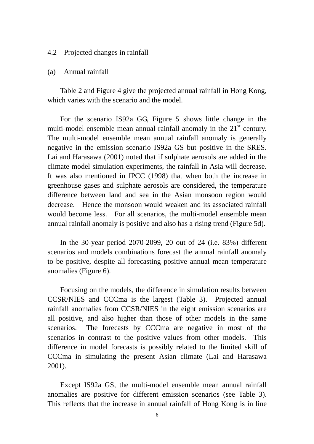#### 4.2 Projected changes in rainfall

#### (a) Annual rainfall

 Table 2 and Figure 4 give the projected annual rainfall in Hong Kong, which varies with the scenario and the model.

 For the scenario IS92a GG, Figure 5 shows little change in the multi-model ensemble mean annual rainfall anomaly in the  $21<sup>st</sup>$  century. The multi-model ensemble mean annual rainfall anomaly is generally negative in the emission scenario IS92a GS but positive in the SRES. Lai and Harasawa (2001) noted that if sulphate aerosols are added in the climate model simulation experiments, the rainfall in Asia will decrease. It was also mentioned in IPCC (1998) that when both the increase in greenhouse gases and sulphate aerosols are considered, the temperature difference between land and sea in the Asian monsoon region would decrease. Hence the monsoon would weaken and its associated rainfall would become less. For all scenarios, the multi-model ensemble mean annual rainfall anomaly is positive and also has a rising trend (Figure 5d).

 In the 30-year period 2070-2099, 20 out of 24 (i.e. 83%) different scenarios and models combinations forecast the annual rainfall anomaly to be positive, despite all forecasting positive annual mean temperature anomalies (Figure 6).

 Focusing on the models, the difference in simulation results between CCSR/NIES and CCCma is the largest (Table 3). Projected annual rainfall anomalies from CCSR/NIES in the eight emission scenarios are all positive, and also higher than those of other models in the same scenarios. The forecasts by CCCma are negative in most of the scenarios in contrast to the positive values from other models. This difference in model forecasts is possibly related to the limited skill of CCCma in simulating the present Asian climate (Lai and Harasawa 2001).

 Except IS92a GS, the multi-model ensemble mean annual rainfall anomalies are positive for different emission scenarios (see Table 3). This reflects that the increase in annual rainfall of Hong Kong is in line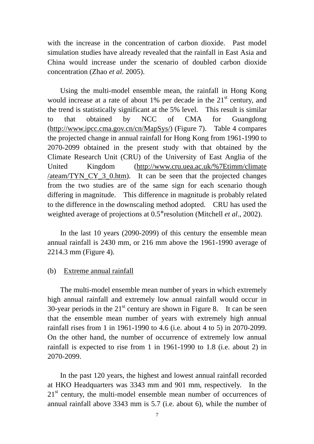with the increase in the concentration of carbon dioxide. Past model simulation studies have already revealed that the rainfall in East Asia and China would increase under the scenario of doubled carbon dioxide concentration (Zhao *et al*. 2005).

 Using the multi-model ensemble mean, the rainfall in Hong Kong would increase at a rate of about  $1\%$  per decade in the  $21<sup>st</sup>$  century, and the trend is statistically significant at the 5% level. This result is similar to that obtained by NCC of CMA for Guangdong (http://www.ipcc.cma.gov.cn/cn/MapSys/) (Figure 7). Table 4 compares the projected change in annual rainfall for Hong Kong from 1961-1990 to 2070-2099 obtained in the present study with that obtained by the Climate Research Unit (CRU) of the University of East Anglia of the United Kingdom (http://www.cru.uea.ac.uk/%7Etimm/climate  $\alpha$  /ateam/TYN CY 3 0.htm). It can be seen that the projected changes from the two studies are of the same sign for each scenario though differing in magnitude. This difference in magnitude is probably related to the difference in the downscaling method adopted. CRU has used the weighted average of projections at 0.5° resolution (Mitchell *et al*., 2002).

 In the last 10 years (2090-2099) of this century the ensemble mean annual rainfall is 2430 mm, or 216 mm above the 1961-1990 average of 2214.3 mm (Figure 4).

# (b) Extreme annual rainfall

 The multi-model ensemble mean number of years in which extremely high annual rainfall and extremely low annual rainfall would occur in 30-year periods in the  $21<sup>st</sup>$  century are shown in Figure 8. It can be seen that the ensemble mean number of years with extremely high annual rainfall rises from 1 in 1961-1990 to 4.6 (i.e. about 4 to 5) in 2070-2099. On the other hand, the number of occurrence of extremely low annual rainfall is expected to rise from 1 in 1961-1990 to 1.8 (i.e. about 2) in 2070-2099.

 In the past 120 years, the highest and lowest annual rainfall recorded at HKO Headquarters was 3343 mm and 901 mm, respectively. In the 21<sup>st</sup> century, the multi-model ensemble mean number of occurrences of annual rainfall above 3343 mm is 5.7 (i.e. about 6), while the number of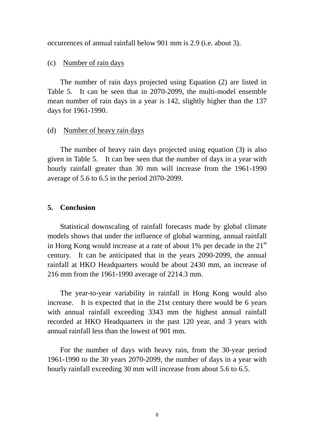occurrences of annual rainfall below 901 mm is 2.9 (i.e. about 3).

# (c) Number of rain days

 The number of rain days projected using Equation (2) are listed in Table 5. It can be seen that in 2070-2099, the multi-model ensemble mean number of rain days in a year is 142, slightly higher than the 137 days for 1961-1990.

## (d) Number of heavy rain days

 The number of heavy rain days projected using equation (3) is also given in Table 5. It can bee seen that the number of days in a year with hourly rainfall greater than 30 mm will increase from the 1961-1990 average of 5.6 to 6.5 in the period 2070-2099.

# **5. Conclusion**

 Statistical downscaling of rainfall forecasts made by global climate models shows that under the influence of global warming, annual rainfall in Hong Kong would increase at a rate of about  $1\%$  per decade in the  $21<sup>st</sup>$ century. It can be anticipated that in the years 2090-2099, the annual rainfall at HKO Headquarters would be about 2430 mm, an increase of 216 mm from the 1961-1990 average of 2214.3 mm.

The year-to-year variability in rainfall in Hong Kong would also increase. It is expected that in the 21st century there would be 6 years with annual rainfall exceeding 3343 mm the highest annual rainfall recorded at HKO Headquarters in the past 120 year, and 3 years with annual rainfall less than the lowest of 901 mm.

For the number of days with heavy rain, from the 30-year period 1961-1990 to the 30 years 2070-2099, the number of days in a year with hourly rainfall exceeding 30 mm will increase from about 5.6 to 6.5.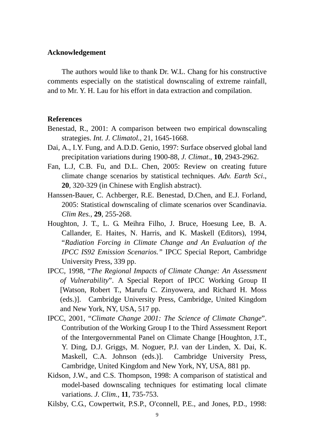#### **Acknowledgement**

The authors would like to thank Dr. W.L. Chang for his constructive comments especially on the statistical downscaling of extreme rainfall, and to Mr. Y. H. Lau for his effort in data extraction and compilation.

## **References**

- Benestad, R., 2001: A comparison between two empirical downscaling strategies. *Int. J. Climatol.*, 21, 1645-1668.
- Dai, A., I.Y. Fung, and A.D.D. Genio, 1997: Surface observed global land precipitation variations during 1900-88, *J. Climat*., **10**, 2943-2962.
- Fan, L.J, C.B. Fu, and D.L. Chen, 2005: Review on creating future climate change scenarios by statistical techniques. *Adv. Earth Sci*., **20**, 320-329 (in Chinese with English abstract).
- Hanssen-Bauer, C. Achberger, R.E. Benestad, D.Chen, and E.J. Forland, 2005: Statistical downscaling of climate scenarios over Scandinavia. *Clim Res.*, **29**, 255-268.
- Houghton, J. T., L. G. Meihra Filho, J. Bruce, Hoesung Lee, B. A. Callander, E. Haites, N. Harris, and K. Maskell (Editors), 1994, "*Radiation Forcing in Climate Change and An Evaluation of the IPCC IS92 Emission Scenarios."* IPCC Special Report, Cambridge University Press, 339 pp.
- IPCC, 1998, "*The Regional Impacts of Climate Change: An Assessment of Vulnerability*". A Special Report of IPCC Working Group II [Watson, Robert T., Marufu C. Zinyowera, and Richard H. Moss (eds.)]. Cambridge University Press, Cambridge, United Kingdom and New York, NY, USA, 517 pp.
- IPCC, 2001, "*Climate Change 2001: The Science of Climate Change*". Contribution of the Working Group I to the Third Assessment Report of the Intergovernmental Panel on Climate Change [Houghton, J.T., Y. Ding, D.J. Griggs, M. Noguer, P.J. van der Linden, X. Dai, K. Maskell, C.A. Johnson (eds.)]. Cambridge University Press, Cambridge, United Kingdom and New York, NY, USA, 881 pp.
- Kidson, J.W., and C.S. Thompson, 1998: A comparison of statistical and model-based downscaling techniques for estimating local climate variations. *J. Clim.*, **11**, 735-753.
- Kilsby, C.G., Cowpertwit, P.S.P., O'connell, P.E., and Jones, P.D., 1998: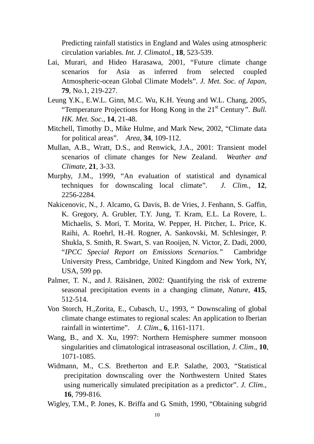Predicting rainfall statistics in England and Wales using atmospheric circulation variables. *Int. J. Climatol.*, **18**, 523-539.

- Lai, Murari, and Hideo Harasawa, 2001, "Future climate change scenarios for Asia as inferred from selected coupled Atmospheric-ocean Global Climate Models". *J. Met. Soc. of Japan*, **79**, No.1, 219-227.
- Leung Y.K., E.W.L. Ginn, M.C. Wu, K.H. Yeung and W.L. Chang, 2005, "Temperature Projections for Hong Kong in the 21<sup>st</sup> Century". *Bull. HK. Met. Soc.,* **14**, 21-48.
- Mitchell, Timothy D., Mike Hulme, and Mark New, 2002, "Climate data for political areas". *Area*, **34**, 109-112.
- Mullan, A.B., Wratt, D.S., and Renwick, J.A., 2001: Transient model scenarios of climate changes for New Zealand. *Weather and Climate*, **21**, 3-33.
- Murphy, J.M., 1999, "An evaluation of statistical and dynamical techniques for downscaling local climate". *J. Clim.*, **12**, 2256-2284.
- Nakicenovic, N., J. Alcamo, G. Davis, B. de Vries, J. Fenhann, S. Gaffin, K. Gregory, A. Grubler, T.Y. Jung, T. Kram, E.L. La Rovere, L. Michaelis, S. Mori, T. Morita, W. Pepper, H. Pitcher, L. Price, K. Raihi, A. Roehrl, H.-H. Rogner, A. Sankovski, M. Schlesinger, P. Shukla, S. Smith, R. Swart, S. van Rooijen, N. Victor, Z. Dadi, 2000, "*IPCC Special Report on Emissions Scenarios."* Cambridge University Press, Cambridge, United Kingdom and New York, NY, USA, 599 pp.
- Palmer, T. N., and J. Räisänen, 2002: Quantifying the risk of extreme seasonal precipitation events in a changing climate, *Nature*, **415**, 512-514.
- Von Storch, H.,Zorita, E., Cubasch, U., 1993, " Downscaling of global climate change estimates to regional scales: An application to Iberian rainfall in wintertime". *J. Clim*., **6**, 1161-1171.
- Wang, B., and X. Xu, 1997: Northern Hemisphere summer monsoon singularities and climatological intraseasonal oscillation, *J. Clim*., **10**, 1071-1085.
- Widmann, M., C.S. Bretherton and E.P. Salathe, 2003, "Statistical precipitation downscaling over the Northwestern United States using numerically simulated precipitation as a predictor". *J. Clim*., **16**, 799-816.
- Wigley, T.M., P. Jones, K. Briffa and G. Smith, 1990, "Obtaining subgrid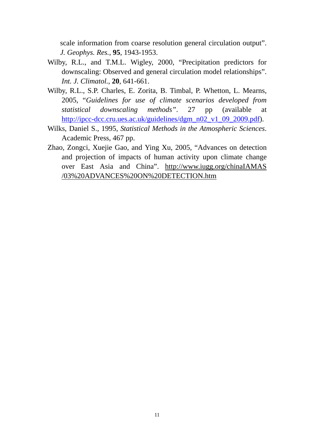scale information from coarse resolution general circulation output". *J. Geophys. Res.*, **95**, 1943-1953.

- Wilby, R.L., and T.M.L. Wigley, 2000, "Precipitation predictors for downscaling: Observed and general circulation model relationships". *Int. J. Climatol.*, **20**, 641-661.
- Wilby, R.L., S.P. Charles, E. Zorita, B. Timbal, P. Whetton, L. Mearns, 2005, "*Guidelines for use of climate scenarios developed from statistical downscaling methods"*. 27 pp (available at http://ipcc-dcc.cru.ues.ac.uk/guidelines/dgm\_n02\_v1\_09\_2009.pdf).
- Wilks, Daniel S., 1995, *Statistical Methods in the Atmospheric Sciences*. Academic Press, 467 pp.
- Zhao, Zongci, Xuejie Gao, and Ying Xu, 2005, "Advances on detection and projection of impacts of human activity upon climate change over East Asia and China". http://www.iugg.org/chinaIAMAS /03%20ADVANCES%20ON%20DETECTION.htm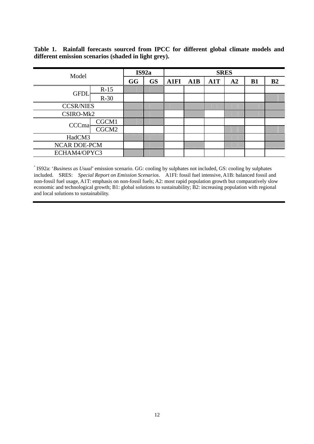**Table 1. Rainfall forecasts sourced from IPCC for different global climate models and different emission scenarios (shaded in light grey).**

| Model               |        | IS92a |           | <b>SRES</b> |     |     |                |           |                |
|---------------------|--------|-------|-----------|-------------|-----|-----|----------------|-----------|----------------|
|                     |        | GG    | <b>GS</b> | <b>A1FI</b> | A1B | A1T | A <sub>2</sub> | <b>B1</b> | B <sub>2</sub> |
| <b>GFDL</b>         | $R-15$ |       |           |             |     |     |                |           |                |
|                     | $R-30$ |       |           |             |     |     |                |           |                |
| <b>CCSR/NIES</b>    |        |       |           |             |     |     |                |           |                |
| CSIRO-Mk2           |        |       |           |             |     |     |                |           |                |
| CCCmal              | CGCM1  |       |           |             |     |     |                |           |                |
|                     | CGCM2  |       |           |             |     |     |                |           |                |
| HadCM3              |        |       |           |             |     |     |                |           |                |
| <b>NCAR DOE-PCM</b> |        |       |           |             |     |     |                |           |                |
| ECHAM4/OPYC3        |        |       |           |             |     |     |                |           |                |

\* IS92a: '*Business as Usual*' emission scenario. GG: cooling by sulphates not included, GS: cooling by sulphates included. SRES: *Special Report on Emission Scenarios*. A1FI: fossil fuel intensive, A1B: balanced fossil and non-fossil fuel usage, A1T: emphasis on non-fossil fuels; A2: most rapid population growth but comparatively slow economic and technological growth; B1: global solutions to sustainability; B2: increasing population with regional and local solutions to sustainability.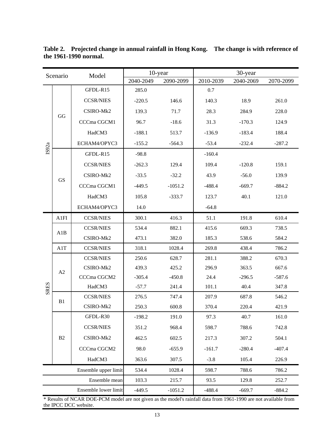| Scenario      |           | Model                |           | 10-year   | 30-year   |           |           |  |
|---------------|-----------|----------------------|-----------|-----------|-----------|-----------|-----------|--|
|               |           |                      | 2040-2049 | 2090-2099 | 2010-2039 | 2040-2069 | 2070-2099 |  |
|               |           | GFDL-R15             | 285.0     |           | 0.7       |           |           |  |
|               |           | <b>CCSR/NIES</b>     | $-220.5$  | 146.6     | 140.3     | 18.9      | 261.0     |  |
|               | GG        | CSIRO-Mk2            | 139.3     | 71.7      | 28.3      | 284.9     | 228.0     |  |
|               |           | CCCma CGCM1          | 96.7      | $-18.6$   | 31.3      | $-170.3$  | 124.9     |  |
|               |           | HadCM3               | $-188.1$  | 513.7     | $-136.9$  | $-183.4$  | 188.4     |  |
|               |           | ECHAM4/OPYC3         | $-155.2$  | $-564.3$  | $-53.4$   | $-232.4$  | $-287.2$  |  |
| IS92a         |           | GFDL-R15             | $-98.8$   |           | $-160.4$  |           |           |  |
|               |           | <b>CCSR/NIES</b>     | $-262.3$  | 129.4     | 109.4     | $-120.8$  | 159.1     |  |
|               |           | CSIRO-Mk2            | $-33.5$   | $-32.2$   | 43.9      | $-56.0$   | 139.9     |  |
|               | <b>GS</b> | CCCma CGCM1          | $-449.5$  | $-1051.2$ | $-488.4$  | $-669.7$  | $-884.2$  |  |
|               |           | HadCM3               | 105.8     | $-333.7$  | 123.7     | 40.1      | 121.0     |  |
|               |           | ECHAM4/OPYC3         | 14.0      |           | $-64.8$   |           |           |  |
|               | A1FI      | <b>CCSR/NIES</b>     | 300.1     | 416.3     | 51.1      | 191.8     | 610.4     |  |
|               | A1B       | <b>CCSR/NIES</b>     | 534.4     | 882.1     | 415.6     | 669.3     | 738.5     |  |
|               |           | CSIRO-Mk2            | 473.1     | 382.0     | 185.3     | 538.6     | 584.2     |  |
|               | A1T       | <b>CCSR/NIES</b>     | 318.1     | 1028.4    | 269.8     | 438.4     | 786.2     |  |
|               |           | <b>CCSR/NIES</b>     | 250.6     | 628.7     | 281.1     | 388.2     | 670.3     |  |
|               | A2        | CSIRO-Mk2            | 439.3     | 425.2     | 296.9     | 363.5     | 667.6     |  |
|               |           | CCCma CGCM2          | $-305.4$  | $-450.8$  | 24.4      | $-296.5$  | $-587.6$  |  |
| <b>SRES</b>   |           | HadCM3               | $-57.7$   | 241.4     | 101.1     | 40.4      | 347.8     |  |
|               | B1        | <b>CCSR/NIES</b>     | 276.5     | 747.4     | 207.9     | 687.8     | 546.2     |  |
|               |           | CSIRO-Mk2            | 250.3     | 600.8     | 370.4     | 220.4     | 421.9     |  |
|               |           | GFDL-R30             | $-198.2$  | 191.0     | 97.3      | 40.7      | 161.0     |  |
|               |           | <b>CCSR/NIES</b>     | 351.2     | 968.4     | 598.7     | 788.6     | 742.8     |  |
|               | B2        | CSIRO-Mk2            | 462.5     | 602.5     | 217.3     | 307.2     | 504.1     |  |
|               |           | CCCma CGCM2          | 98.0      | $-655.9$  | $-161.7$  | $-280.4$  | $-407.4$  |  |
|               |           | HadCM3               | 363.6     | 307.5     | $-3.8$    | 105.4     | 226.9     |  |
|               |           | Ensemble upper limit | 534.4     | 1028.4    | 598.7     | 788.6     | 786.2     |  |
| Ensemble mean |           | 103.3                | 215.7     | 93.5      | 129.8     | 252.7     |           |  |
|               |           | Ensemble lower limit | $-449.5$  | $-1051.2$ | $-488.4$  | $-669.7$  | $-884.2$  |  |

**Table 2. Projected change in annual rainfall in Hong Kong. The change is with reference of the 1961-1990 normal.** 

\* Results of NCAR DOE-PCM model are not given as the model's rainfall data from 1961-1990 are not available from the IPCC DCC website.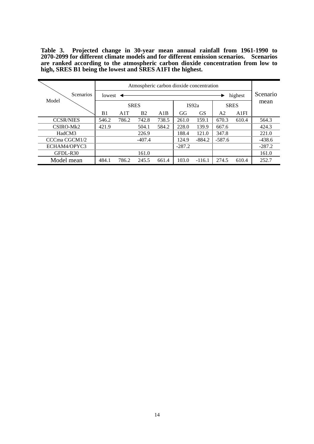**Table 3. Projected change in 30-year mean annual rainfall from 1961-1990 to 2070-2099 for different climate models and for different emission scenarios. Scenarios are ranked according to the atmospheric carbon dioxide concentration from low to high, SRES B1 being the lowest and SRES A1FI the highest.** 

| <b>Scenarios</b><br>Model | Atmospheric carbon dioxide concentration |       |                |       |          |           |             |       | Scenario |
|---------------------------|------------------------------------------|-------|----------------|-------|----------|-----------|-------------|-------|----------|
|                           | lowest                                   |       |                |       | highest  |           |             |       | mean     |
|                           | <b>SRES</b>                              |       |                |       | IS92a    |           | <b>SRES</b> |       |          |
|                           | B <sub>1</sub>                           | A1T   | B <sub>2</sub> | A1B   | GG       | <b>GS</b> | A2          | A1FI  |          |
| <b>CCSR/NIES</b>          | 546.2                                    | 786.2 | 742.8          | 738.5 | 261.0    | 159.1     | 670.3       | 610.4 | 564.3    |
| CSIRO-Mk2                 | 421.9                                    |       | 504.1          | 584.2 | 228.0    | 139.9     | 667.6       |       | 424.3    |
| HadCM3                    |                                          |       | 226.9          |       | 188.4    | 121.0     | 347.8       |       | 221.0    |
| CCCma CGCM1/2             |                                          |       | $-407.4$       |       | 124.9    | $-884.2$  | $-587.6$    |       | $-438.6$ |
| ECHAM4/OPYC3              |                                          |       |                |       | $-287.2$ |           |             |       | $-287.2$ |
| GFDL-R30                  |                                          |       | 161.0          |       |          |           |             |       | 161.0    |
| Model mean                | 484.1                                    | 786.2 | 245.5          | 661.4 | 103.0    | $-116.1$  | 274.5       | 610.4 | 252.7    |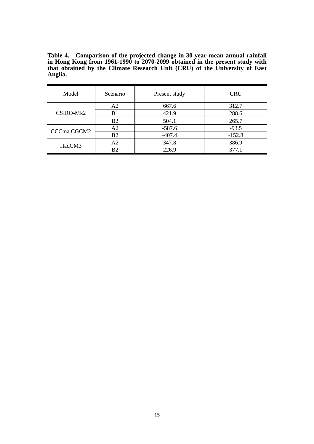**Table 4. Comparison of the projected change in 30-year mean annual rainfall in Hong Kong from 1961-1990 to 2070-2099 obtained in the present study with that obtained by the Climate Research Unit (CRU) of the University of East Anglia.**  

| Model       | Scenario       | Present study | <b>CRU</b> |  |
|-------------|----------------|---------------|------------|--|
|             | A <sub>2</sub> | 667.6         | 312.7      |  |
| CSIRO-Mk2   | B <sub>1</sub> | 421.9         | 288.6      |  |
|             | <b>B2</b>      | 504.1         | 265.7      |  |
| CCCma CGCM2 | A <sub>2</sub> | $-587.6$      | $-93.5$    |  |
|             | B <sub>2</sub> | $-407.4$      | $-152.8$   |  |
| HadCM3      | A2             | 347.8         | 386.9      |  |
|             | B <sub>2</sub> | 226.9         | 377.1      |  |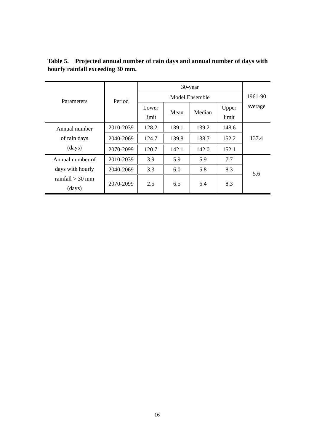| <b>Parameters</b>            | Period    |       | 1961-90 |        |       |         |  |
|------------------------------|-----------|-------|---------|--------|-------|---------|--|
|                              |           | Lower | Mean    | Median | Upper | average |  |
|                              |           | limit |         |        | limit |         |  |
| Annual number                | 2010-2039 | 128.2 | 139.1   | 139.2  | 148.6 |         |  |
| of rain days                 | 2040-2069 | 124.7 | 139.8   | 138.7  | 152.2 | 137.4   |  |
| (days)                       | 2070-2099 | 120.7 | 142.1   | 142.0  | 152.1 |         |  |
| Annual number of             | 2010-2039 | 3.9   | 5.9     | 5.9    | 7.7   |         |  |
| days with hourly             | 2040-2069 | 3.3   | 6.0     | 5.8    | 8.3   | 5.6     |  |
| rainfall $>$ 30 mm<br>(days) | 2070-2099 | 2.5   | 6.5     | 6.4    | 8.3   |         |  |

**Table 5. Projected annual number of rain days and annual number of days with hourly rainfall exceeding 30 mm.**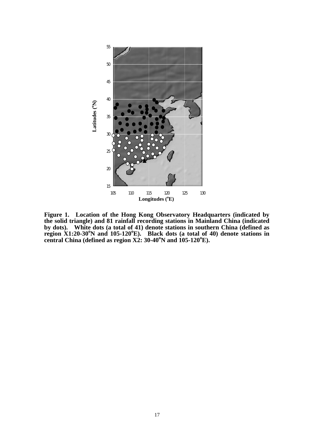

**Figure 1. Location of the Hong Kong Observatory Headquarters (indicated by the solid triangle) and 81 rainfall recording stations in Mainland China (indicated by dots). White dots (a total of 41) denote stations in southern China (defined as**  region X1:20-30<sup>o</sup>N and 105-120<sup>o</sup>E). Black dots (a total of 40) denote stations in **central China (defined as region X2: 30-40<sup>o</sup>N and 105-120<sup>o</sup>E).**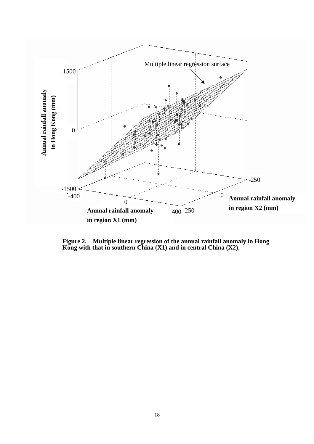

**Figure 2. Multiple linear regression of the annual rainfall anomaly in Hong Kong with that in southern China (X1) and in central China (X2).**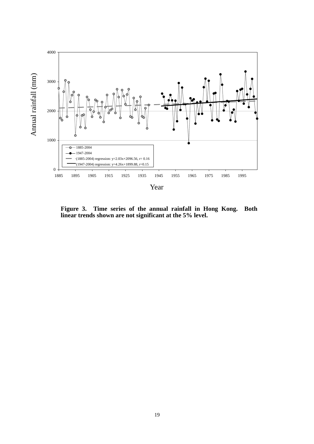

**Figure 3. Time series of the annual rainfall in Hong Kong. Both linear trends shown are not significant at the 5% level.**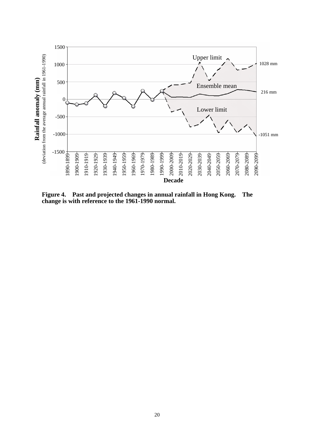

**Figure 4. Past and projected changes in annual rainfall in Hong Kong. The change is with reference to the 1961-1990 normal.**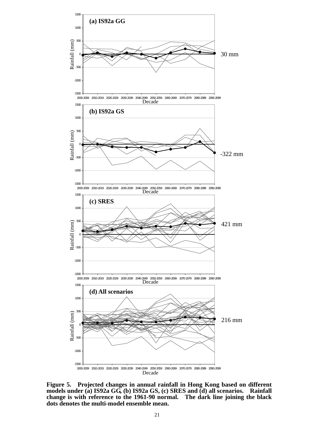

**Figure 5. Projected changes in annual rainfall in Hong Kong based on different models under (a) IS92a GG, (b) IS92a GS, (c) SRES and (d) all scenarios. Rainfall change is with reference to the 1961-90 normal. The dark line joining the black dots denotes the multi-model ensemble mean.**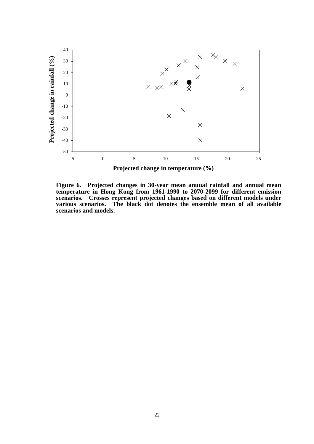

**Figure 6. Projected changes in 30-year mean anuual rainfall and annual mean temperature in Hong Kong from 1961-1990 to 2070-2099 for different emission scenarios. Crosses represent projected changes based on different models under various scenarios. The black dot denotes the ensemble mean of all available scenarios and models.**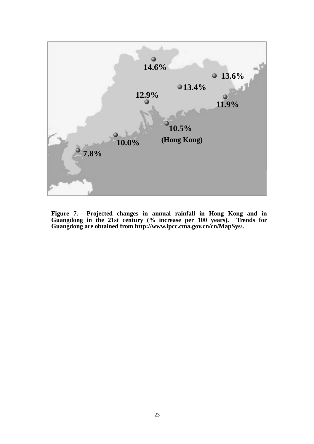

**Figure 7. Projected changes in annual rainfall in Hong Kong and in Guangdong in the 21st century (% increase per 100 years). Trends for Guangdong are obtained from http://www.ipcc.cma.gov.cn/cn/MapSys/.**